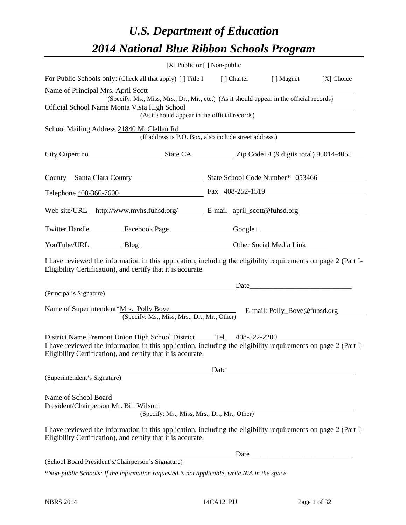# *U.S. Department of Education 2014 National Blue Ribbon Schools Program*

|                                                                                                                                                                                                                                                      |  | [X] Public or [] Non-public |                                                                                                                                                                                                                               |              |
|------------------------------------------------------------------------------------------------------------------------------------------------------------------------------------------------------------------------------------------------------|--|-----------------------------|-------------------------------------------------------------------------------------------------------------------------------------------------------------------------------------------------------------------------------|--------------|
| For Public Schools only: (Check all that apply) [] Title I [] Charter [] Magnet                                                                                                                                                                      |  |                             |                                                                                                                                                                                                                               | $[X]$ Choice |
| Name of Principal Mrs. April Scott<br>(Specify: Ms., Miss, Mrs., Dr., Mr., etc.) (As it should appear in the official records)<br>Official School Name Monta Vista High School                                                                       |  |                             |                                                                                                                                                                                                                               |              |
| (As it should appear in the official records)                                                                                                                                                                                                        |  |                             |                                                                                                                                                                                                                               |              |
| School Mailing Address 21840 McClellan Rd<br>(If address is P.O. Box, also include street address.)                                                                                                                                                  |  |                             |                                                                                                                                                                                                                               |              |
| City Cupertino State CA State CA State CA State CA State CA State CA State CA State CA State CA State CA State CA State CA State CA State CA State CA State CA State CA State CA State CA State CA State CA State CA State CA                        |  |                             |                                                                                                                                                                                                                               |              |
| County Santa Clara County State School Code Number* 053466                                                                                                                                                                                           |  |                             |                                                                                                                                                                                                                               |              |
| Telephone 408-366-7600 Fax 408-252-1519                                                                                                                                                                                                              |  |                             |                                                                                                                                                                                                                               |              |
| Web site/URL http://www.mvhs.fuhsd.org/ E-mail april scott@fuhsd.org                                                                                                                                                                                 |  |                             |                                                                                                                                                                                                                               |              |
| Twitter Handle ___________ Facebook Page ____________________ Google+ ___________                                                                                                                                                                    |  |                             |                                                                                                                                                                                                                               |              |
| YouTube/URL Blog Blog Cher Social Media Link                                                                                                                                                                                                         |  |                             |                                                                                                                                                                                                                               |              |
| I have reviewed the information in this application, including the eligibility requirements on page 2 (Part I-<br>Eligibility Certification), and certify that it is accurate.                                                                       |  |                             |                                                                                                                                                                                                                               |              |
|                                                                                                                                                                                                                                                      |  |                             | Date experience and the set of the set of the set of the set of the set of the set of the set of the set of the set of the set of the set of the set of the set of the set of the set of the set of the set of the set of the |              |
| (Principal's Signature)                                                                                                                                                                                                                              |  |                             |                                                                                                                                                                                                                               |              |
| Name of Superintendent*Mrs. Polly Bove<br>(Specify: Ms., Miss, Mrs., Dr., Mr., Other)                                                                                                                                                                |  |                             | E-mail: Polly_Bove@fuhsd.org                                                                                                                                                                                                  |              |
|                                                                                                                                                                                                                                                      |  |                             |                                                                                                                                                                                                                               |              |
| District Name Fremont Union High School District Tel. 408-522-2200<br>I have reviewed the information in this application, including the eligibility requirements on page 2 (Part I-<br>Eligibility Certification), and certify that it is accurate. |  |                             |                                                                                                                                                                                                                               |              |
|                                                                                                                                                                                                                                                      |  |                             | Date                                                                                                                                                                                                                          |              |
| (Superintendent's Signature)                                                                                                                                                                                                                         |  |                             |                                                                                                                                                                                                                               |              |
| Name of School Board<br>President/Chairperson Mr. Bill Wilson<br>(Specify: Ms., Miss, Mrs., Dr., Mr., Other)                                                                                                                                         |  |                             |                                                                                                                                                                                                                               |              |
| I have reviewed the information in this application, including the eligibility requirements on page 2 (Part I-<br>Eligibility Certification), and certify that it is accurate.                                                                       |  |                             |                                                                                                                                                                                                                               |              |
|                                                                                                                                                                                                                                                      |  |                             |                                                                                                                                                                                                                               |              |
| (School Board President's/Chairperson's Signature)                                                                                                                                                                                                   |  |                             |                                                                                                                                                                                                                               |              |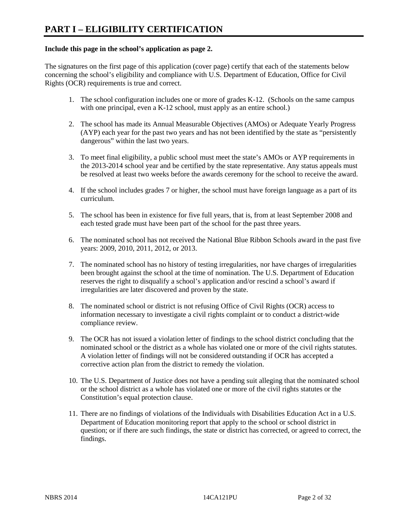#### **Include this page in the school's application as page 2.**

The signatures on the first page of this application (cover page) certify that each of the statements below concerning the school's eligibility and compliance with U.S. Department of Education, Office for Civil Rights (OCR) requirements is true and correct.

- 1. The school configuration includes one or more of grades K-12. (Schools on the same campus with one principal, even a K-12 school, must apply as an entire school.)
- 2. The school has made its Annual Measurable Objectives (AMOs) or Adequate Yearly Progress (AYP) each year for the past two years and has not been identified by the state as "persistently dangerous" within the last two years.
- 3. To meet final eligibility, a public school must meet the state's AMOs or AYP requirements in the 2013-2014 school year and be certified by the state representative. Any status appeals must be resolved at least two weeks before the awards ceremony for the school to receive the award.
- 4. If the school includes grades 7 or higher, the school must have foreign language as a part of its curriculum.
- 5. The school has been in existence for five full years, that is, from at least September 2008 and each tested grade must have been part of the school for the past three years.
- 6. The nominated school has not received the National Blue Ribbon Schools award in the past five years: 2009, 2010, 2011, 2012, or 2013.
- 7. The nominated school has no history of testing irregularities, nor have charges of irregularities been brought against the school at the time of nomination. The U.S. Department of Education reserves the right to disqualify a school's application and/or rescind a school's award if irregularities are later discovered and proven by the state.
- 8. The nominated school or district is not refusing Office of Civil Rights (OCR) access to information necessary to investigate a civil rights complaint or to conduct a district-wide compliance review.
- 9. The OCR has not issued a violation letter of findings to the school district concluding that the nominated school or the district as a whole has violated one or more of the civil rights statutes. A violation letter of findings will not be considered outstanding if OCR has accepted a corrective action plan from the district to remedy the violation.
- 10. The U.S. Department of Justice does not have a pending suit alleging that the nominated school or the school district as a whole has violated one or more of the civil rights statutes or the Constitution's equal protection clause.
- 11. There are no findings of violations of the Individuals with Disabilities Education Act in a U.S. Department of Education monitoring report that apply to the school or school district in question; or if there are such findings, the state or district has corrected, or agreed to correct, the findings.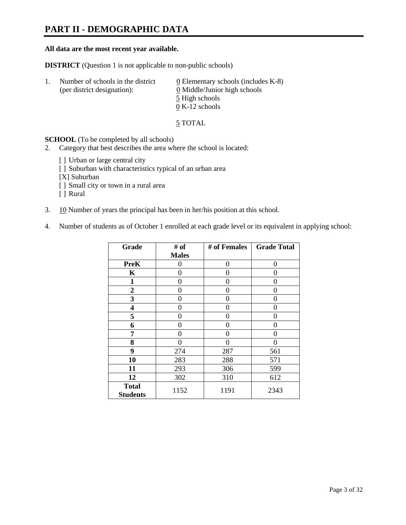# **PART II - DEMOGRAPHIC DATA**

#### **All data are the most recent year available.**

**DISTRICT** (Question 1 is not applicable to non-public schools)

| -1. | Number of schools in the district<br>(per district designation): | $\underline{0}$ Elementary schools (includes K-8)<br>0 Middle/Junior high schools<br>5 High schools |
|-----|------------------------------------------------------------------|-----------------------------------------------------------------------------------------------------|
|     |                                                                  |                                                                                                     |
|     |                                                                  | $0 K-12$ schools                                                                                    |

5 TOTAL

**SCHOOL** (To be completed by all schools)

- 2. Category that best describes the area where the school is located:
	- [] Urban or large central city
	- [ ] Suburban with characteristics typical of an urban area
	- [X] Suburban
	- [ ] Small city or town in a rural area
	- [ ] Rural
- 3. 10 Number of years the principal has been in her/his position at this school.
- 4. Number of students as of October 1 enrolled at each grade level or its equivalent in applying school:

| Grade                           | # of         | # of Females | <b>Grade Total</b> |
|---------------------------------|--------------|--------------|--------------------|
|                                 | <b>Males</b> |              |                    |
| <b>PreK</b>                     | 0            | 0            | 0                  |
| K                               | 0            | 0            | 0                  |
| $\mathbf{1}$                    | 0            | 0            | 0                  |
| $\overline{2}$                  | 0            | 0            | 0                  |
| 3                               | 0            | 0            | 0                  |
| 4                               | 0            | 0            | 0                  |
| 5                               | 0            | 0            | 0                  |
| 6                               | 0            | 0            | 0                  |
| 7                               | 0            | 0            | 0                  |
| 8                               | 0            | 0            | 0                  |
| 9                               | 274          | 287          | 561                |
| 10                              | 283          | 288          | 571                |
| 11                              | 293          | 306          | 599                |
| 12                              | 302          | 310          | 612                |
| <b>Total</b><br><b>Students</b> | 1152         | 1191         | 2343               |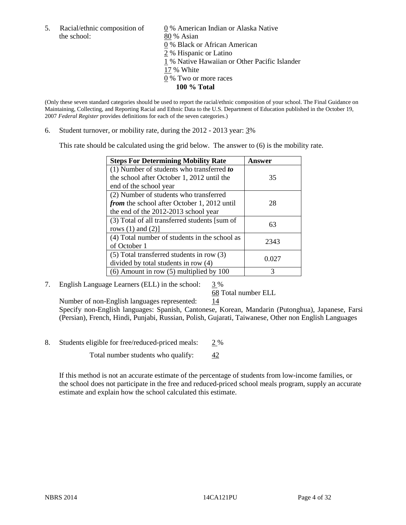the school: 80 % Asian

5. Racial/ethnic composition of  $\qquad \qquad \underline{0}$  % American Indian or Alaska Native 0 % Black or African American 2 % Hispanic or Latino 1 % Native Hawaiian or Other Pacific Islander 17 % White 0 % Two or more races **100 % Total**

(Only these seven standard categories should be used to report the racial/ethnic composition of your school. The Final Guidance on Maintaining, Collecting, and Reporting Racial and Ethnic Data to the U.S. Department of Education published in the October 19, 2007 *Federal Register* provides definitions for each of the seven categories.)

6. Student turnover, or mobility rate, during the 2012 - 2013 year: 3%

This rate should be calculated using the grid below. The answer to (6) is the mobility rate.

| <b>Steps For Determining Mobility Rate</b>    | Answer |
|-----------------------------------------------|--------|
| (1) Number of students who transferred to     |        |
| the school after October 1, 2012 until the    | 35     |
| end of the school year                        |        |
| (2) Number of students who transferred        |        |
| from the school after October 1, 2012 until   | 28     |
| the end of the 2012-2013 school year          |        |
| (3) Total of all transferred students [sum of | 63     |
| rows $(1)$ and $(2)$ ]                        |        |
| (4) Total number of students in the school as | 2343   |
| of October 1                                  |        |
| (5) Total transferred students in row (3)     | 0.027  |
| divided by total students in row (4)          |        |
| $(6)$ Amount in row $(5)$ multiplied by 100   | 3      |

7. English Language Learners (ELL) in the school: 3 %

68 Total number ELL

Number of non-English languages represented: 14 Specify non-English languages: Spanish, Cantonese, Korean, Mandarin (Putonghua), Japanese, Farsi (Persian), French, Hindi, Punjabi, Russian, Polish, Gujarati, Taiwanese, Other non English Languages

8. Students eligible for free/reduced-priced meals: 2 %

Total number students who qualify:  $\frac{42}{5}$ 

If this method is not an accurate estimate of the percentage of students from low-income families, or the school does not participate in the free and reduced-priced school meals program, supply an accurate estimate and explain how the school calculated this estimate.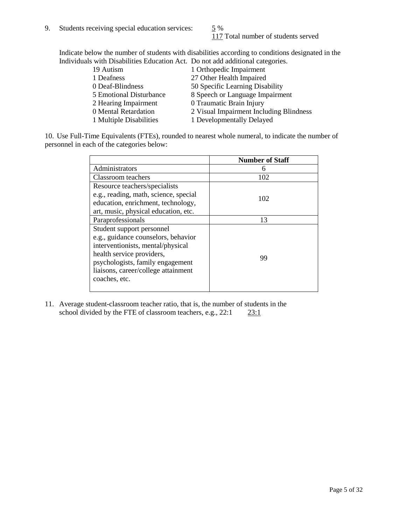117 Total number of students served

Indicate below the number of students with disabilities according to conditions designated in the Individuals with Disabilities Education Act. Do not add additional categories.

| 19 Autism               | 1 Orthopedic Impairment                 |
|-------------------------|-----------------------------------------|
| 1 Deafness              | 27 Other Health Impaired                |
| 0 Deaf-Blindness        | 50 Specific Learning Disability         |
| 5 Emotional Disturbance | 8 Speech or Language Impairment         |
| 2 Hearing Impairment    | 0 Traumatic Brain Injury                |
| 0 Mental Retardation    | 2 Visual Impairment Including Blindness |
| 1 Multiple Disabilities | 1 Developmentally Delayed               |
|                         |                                         |

10. Use Full-Time Equivalents (FTEs), rounded to nearest whole numeral, to indicate the number of personnel in each of the categories below:

|                                       | <b>Number of Staff</b> |
|---------------------------------------|------------------------|
| Administrators                        |                        |
| Classroom teachers                    | 102                    |
| Resource teachers/specialists         |                        |
| e.g., reading, math, science, special | 102                    |
| education, enrichment, technology,    |                        |
| art, music, physical education, etc.  |                        |
| Paraprofessionals                     | 13                     |
| Student support personnel             |                        |
| e.g., guidance counselors, behavior   |                        |
| interventionists, mental/physical     |                        |
| health service providers,             | 99                     |
| psychologists, family engagement      |                        |
| liaisons, career/college attainment   |                        |
| coaches, etc.                         |                        |
|                                       |                        |

11. Average student-classroom teacher ratio, that is, the number of students in the school divided by the FTE of classroom teachers, e.g.,  $22:1$   $23:1$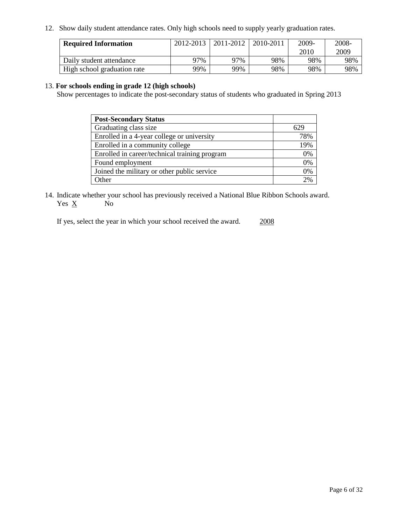12. Show daily student attendance rates. Only high schools need to supply yearly graduation rates.

| <b>Required Information</b> | 2012-2013 | 2011-2012 | 2010-2011 | 2009- | 2008- |
|-----------------------------|-----------|-----------|-----------|-------|-------|
|                             |           |           |           | 2010  | 2009  |
| Daily student attendance    | 97%       | 97%       | 98%       | 98%   | 98%   |
| High school graduation rate | 99%       | 99%       | 98%       | 98%   | 98%   |

#### 13. **For schools ending in grade 12 (high schools)**

Show percentages to indicate the post-secondary status of students who graduated in Spring 2013

| <b>Post-Secondary Status</b>                  |     |
|-----------------------------------------------|-----|
| Graduating class size                         | 629 |
| Enrolled in a 4-year college or university    | 78% |
| Enrolled in a community college               | 19% |
| Enrolled in career/technical training program | 0%  |
| Found employment                              | 0%  |
| Joined the military or other public service   | 0%  |
| Other                                         | 2%  |

14. Indicate whether your school has previously received a National Blue Ribbon Schools award. Yes  $\underline{X}$  No

If yes, select the year in which your school received the award. 2008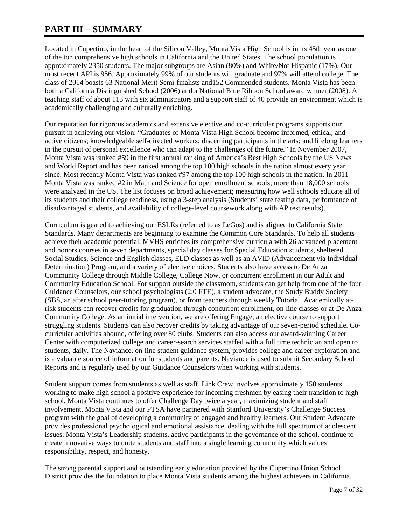# **PART III – SUMMARY**

Located in Cupertino, in the heart of the Silicon Valley, Monta Vista High School is in its 45th year as one of the top comprehensive high schools in California and the United States. The school population is approximately 2350 students. The major subgroups are Asian (80%) and White/Not Hispanic (17%). Our most recent API is 956. Approximately 99% of our students will graduate and 97% will attend college. The class of 2014 boasts 63 National Merit Semi-finalists and152 Commended students. Monta Vista has been both a California Distinguished School (2006) and a National Blue Ribbon School award winner (2008). A teaching staff of about 113 with six administrators and a support staff of 40 provide an environment which is academically challenging and culturally enriching.

Our reputation for rigorous academics and extensive elective and co-curricular programs supports our pursuit in achieving our vision: "Graduates of Monta Vista High School become informed, ethical, and active citizens; knowledgeable self-directed workers; discerning participants in the arts; and lifelong learners in the pursuit of personal excellence who can adapt to the challenges of the future." In November 2007, Monta Vista was ranked #59 in the first annual ranking of America's Best High Schools by the US News and World Report and has been ranked among the top 100 high schools in the nation almost every year since. Most recently Monta Vista was ranked #97 among the top 100 high schools in the nation. In 2011 Monta Vista was ranked #2 in Math and Science for open enrollment schools; more than 18,000 schools were analyzed in the US. The list focuses on broad achievement; measuring how well schools educate all of its students and their college readiness, using a 3-step analysis (Students' state testing data, performance of disadvantaged students, and availability of college-level coursework along with AP test results).

Curriculum is geared to achieving our ESLRs (referred to as LeGos) and is aligned to California State Standards. Many departments are beginning to examine the Common Core Standards. To help all students achieve their academic potential, MVHS enriches its comprehensive curricula with 26 advanced placement and honors courses in seven departments, special day classes for Special Education students, sheltered Social Studies, Science and English classes, ELD classes as well as an AVID (Advancement via Individual Determination) Program, and a variety of elective choices. Students also have access to De Anza Community College through Middle College, College Now, or concurrent enrollment in our Adult and Community Education School. For support outside the classroom, students can get help from one of the four Guidance Counselors, our school psychologists (2.0 FTE), a student advocate, the Study Buddy Society (SBS, an after school peer-tutoring program), or from teachers through weekly Tutorial. Academically atrisk students can recover credits for graduation through concurrent enrollment, on-line classes or at De Anza Community College. As an initial intervention, we are offering Engage, an elective course to support struggling students. Students can also recover credits by taking advantage of our seven-period schedule. Cocurricular activities abound, offering over 80 clubs. Students can also access our award-winning Career Center with computerized college and career-search services staffed with a full time technician and open to students, daily. The Naviance, on-line student guidance system, provides college and career exploration and is a valuable source of information for students and parents. Naviance is used to submit Secondary School Reports and is regularly used by our Guidance Counselors when working with students.

Student support comes from students as well as staff. Link Crew involves approximately 150 students working to make high school a positive experience for incoming freshmen by easing their transition to high school. Monta Vista continues to offer Challenge Day twice a year, maximizing student and staff involvement. Monta Vista and our PTSA have partnered with Stanford University's Challenge Success program with the goal of developing a community of engaged and healthy learners. Our Student Advocate provides professional psychological and emotional assistance, dealing with the full spectrum of adolescent issues. Monta Vista's Leadership students, active participants in the governance of the school, continue to create innovative ways to unite students and staff into a single learning community which values responsibility, respect, and honesty.

The strong parental support and outstanding early education provided by the Cupertino Union School District provides the foundation to place Monta Vista students among the highest achievers in California.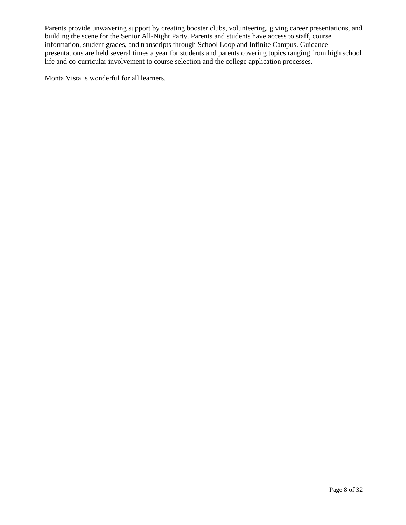Parents provide unwavering support by creating booster clubs, volunteering, giving career presentations, and building the scene for the Senior All-Night Party. Parents and students have access to staff, course information, student grades, and transcripts through School Loop and Infinite Campus. Guidance presentations are held several times a year for students and parents covering topics ranging from high school life and co-curricular involvement to course selection and the college application processes.

Monta Vista is wonderful for all learners.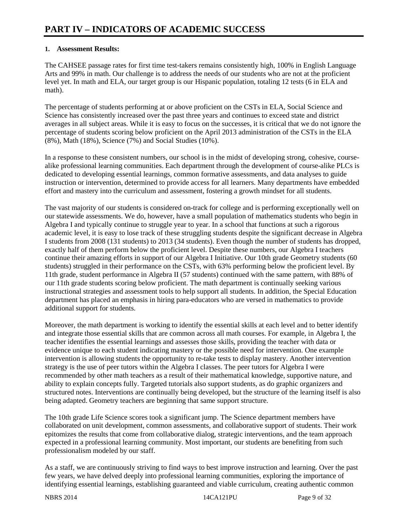## **1. Assessment Results:**

The CAHSEE passage rates for first time test-takers remains consistently high, 100% in English Language Arts and 99% in math. Our challenge is to address the needs of our students who are not at the proficient level yet. In math and ELA, our target group is our Hispanic population, totaling 12 tests (6 in ELA and math).

The percentage of students performing at or above proficient on the CSTs in ELA, Social Science and Science has consistently increased over the past three years and continues to exceed state and district averages in all subject areas. While it is easy to focus on the successes, it is critical that we do not ignore the percentage of students scoring below proficient on the April 2013 administration of the CSTs in the ELA  $(8\%)$ , Math (18%), Science (7%) and Social Studies (10%).

In a response to these consistent numbers, our school is in the midst of developing strong, cohesive, coursealike professional learning communities. Each department through the development of course-alike PLCs is dedicated to developing essential learnings, common formative assessments, and data analyses to guide instruction or intervention, determined to provide access for all learners. Many departments have embedded effort and mastery into the curriculum and assessment, fostering a growth mindset for all students.

The vast majority of our students is considered on-track for college and is performing exceptionally well on our statewide assessments. We do, however, have a small population of mathematics students who begin in Algebra I and typically continue to struggle year to year. In a school that functions at such a rigorous academic level, it is easy to lose track of these struggling students despite the significant decrease in Algebra I students from 2008 (131 students) to 2013 (34 students). Even though the number of students has dropped, exactly half of them perform below the proficient level. Despite these numbers, our Algebra I teachers continue their amazing efforts in support of our Algebra I Initiative. Our 10th grade Geometry students (60 students) struggled in their performance on the CSTs, with 63% performing below the proficient level. By 11th grade, student performance in Algebra II (57 students) continued with the same pattern, with 88% of our 11th grade students scoring below proficient. The math department is continually seeking various instructional strategies and assessment tools to help support all students. In addition, the Special Education department has placed an emphasis in hiring para-educators who are versed in mathematics to provide additional support for students.

Moreover, the math department is working to identify the essential skills at each level and to better identify and integrate those essential skills that are common across all math courses. For example, in Algebra I, the teacher identifies the essential learnings and assesses those skills, providing the teacher with data or evidence unique to each student indicating mastery or the possible need for intervention. One example intervention is allowing students the opportunity to re-take tests to display mastery. Another intervention strategy is the use of peer tutors within the Algebra I classes. The peer tutors for Algebra I were recommended by other math teachers as a result of their mathematical knowledge, supportive nature, and ability to explain concepts fully. Targeted tutorials also support students, as do graphic organizers and structured notes. Interventions are continually being developed, but the structure of the learning itself is also being adapted. Geometry teachers are beginning that same support structure.

The 10th grade Life Science scores took a significant jump. The Science department members have collaborated on unit development, common assessments, and collaborative support of students. Their work epitomizes the results that come from collaborative dialog, strategic interventions, and the team approach expected in a professional learning community. Most important, our students are benefiting from such professionalism modeled by our staff.

As a staff, we are continuously striving to find ways to best improve instruction and learning. Over the past few years, we have delved deeply into professional learning communities, exploring the importance of identifying essential learnings, establishing guaranteed and viable curriculum, creating authentic common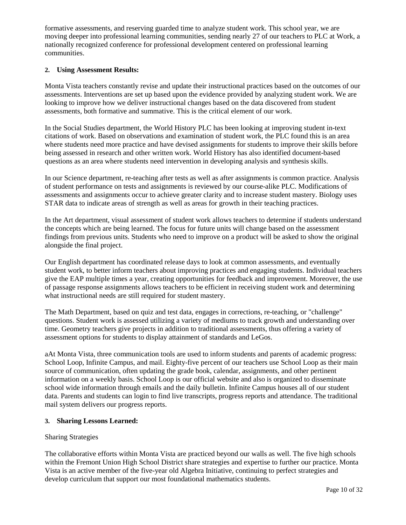formative assessments, and reserving guarded time to analyze student work. This school year, we are moving deeper into professional learning communities, sending nearly 27 of our teachers to PLC at Work, a nationally recognized conference for professional development centered on professional learning communities.

#### **2. Using Assessment Results:**

Monta Vista teachers constantly revise and update their instructional practices based on the outcomes of our assessments. Interventions are set up based upon the evidence provided by analyzing student work. We are looking to improve how we deliver instructional changes based on the data discovered from student assessments, both formative and summative. This is the critical element of our work.

In the Social Studies department, the World History PLC has been looking at improving student in-text citations of work. Based on observations and examination of student work, the PLC found this is an area where students need more practice and have devised assignments for students to improve their skills before being assessed in research and other written work. World History has also identified document-based questions as an area where students need intervention in developing analysis and synthesis skills.

In our Science department, re-teaching after tests as well as after assignments is common practice. Analysis of student performance on tests and assignments is reviewed by our course-alike PLC. Modifications of assessments and assignments occur to achieve greater clarity and to increase student mastery. Biology uses STAR data to indicate areas of strength as well as areas for growth in their teaching practices.

In the Art department, visual assessment of student work allows teachers to determine if students understand the concepts which are being learned. The focus for future units will change based on the assessment findings from previous units. Students who need to improve on a product will be asked to show the original alongside the final project.

Our English department has coordinated release days to look at common assessments, and eventually student work, to better inform teachers about improving practices and engaging students. Individual teachers give the EAP multiple times a year, creating opportunities for feedback and improvement. Moreover, the use of passage response assignments allows teachers to be efficient in receiving student work and determining what instructional needs are still required for student mastery.

The Math Department, based on quiz and test data, engages in corrections, re-teaching, or "challenge" questions. Student work is assessed utilizing a variety of mediums to track growth and understanding over time. Geometry teachers give projects in addition to traditional assessments, thus offering a variety of assessment options for students to display attainment of standards and LeGos.

aAt Monta Vista, three communication tools are used to inform students and parents of academic progress: School Loop, Infinite Campus, and mail. Eighty-five percent of our teachers use School Loop as their main source of communication, often updating the grade book, calendar, assignments, and other pertinent information on a weekly basis. School Loop is our official website and also is organized to disseminate school wide information through emails and the daily bulletin. Infinite Campus houses all of our student data. Parents and students can login to find live transcripts, progress reports and attendance. The traditional mail system delivers our progress reports.

#### **3. Sharing Lessons Learned:**

#### Sharing Strategies

The collaborative efforts within Monta Vista are practiced beyond our walls as well. The five high schools within the Fremont Union High School District share strategies and expertise to further our practice. Monta Vista is an active member of the five-year old Algebra Initiative, continuing to perfect strategies and develop curriculum that support our most foundational mathematics students.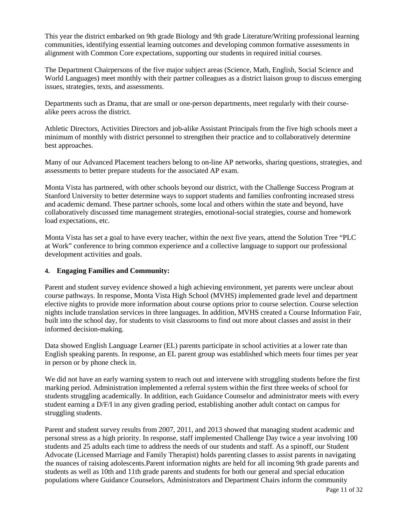This year the district embarked on 9th grade Biology and 9th grade Literature/Writing professional learning communities, identifying essential learning outcomes and developing common formative assessments in alignment with Common Core expectations, supporting our students in required initial courses.

The Department Chairpersons of the five major subject areas (Science, Math, English, Social Science and World Languages) meet monthly with their partner colleagues as a district liaison group to discuss emerging issues, strategies, texts, and assessments.

Departments such as Drama, that are small or one-person departments, meet regularly with their coursealike peers across the district.

Athletic Directors, Activities Directors and job-alike Assistant Principals from the five high schools meet a minimum of monthly with district personnel to strengthen their practice and to collaboratively determine best approaches.

Many of our Advanced Placement teachers belong to on-line AP networks, sharing questions, strategies, and assessments to better prepare students for the associated AP exam.

Monta Vista has partnered, with other schools beyond our district, with the Challenge Success Program at Stanford University to better determine ways to support students and families confronting increased stress and academic demand. These partner schools, some local and others within the state and beyond, have collaboratively discussed time management strategies, emotional-social strategies, course and homework load expectations, etc.

Monta Vista has set a goal to have every teacher, within the next five years, attend the Solution Tree "PLC at Work" conference to bring common experience and a collective language to support our professional development activities and goals.

#### **4. Engaging Families and Community:**

Parent and student survey evidence showed a high achieving environment, yet parents were unclear about course pathways. In response, Monta Vista High School (MVHS) implemented grade level and department elective nights to provide more information about course options prior to course selection. Course selection nights include translation services in three languages. In addition, MVHS created a Course Information Fair, built into the school day, for students to visit classrooms to find out more about classes and assist in their informed decision-making.

Data showed English Language Learner (EL) parents participate in school activities at a lower rate than English speaking parents. In response, an EL parent group was established which meets four times per year in person or by phone check in.

We did not have an early warning system to reach out and intervene with struggling students before the first marking period. Administration implemented a referral system within the first three weeks of school for students struggling academically. In addition, each Guidance Counselor and administrator meets with every student earning a D/F/I in any given grading period, establishing another adult contact on campus for struggling students.

Parent and student survey results from 2007, 2011, and 2013 showed that managing student academic and personal stress as a high priority. In response, staff implemented Challenge Day twice a year involving 100 students and 25 adults each time to address the needs of our students and staff. As a spinoff, our Student Advocate (Licensed Marriage and Family Therapist) holds parenting classes to assist parents in navigating the nuances of raising adolescents.Parent information nights are held for all incoming 9th grade parents and students as well as 10th and 11th grade parents and students for both our general and special education populations where Guidance Counselors, Administrators and Department Chairs inform the community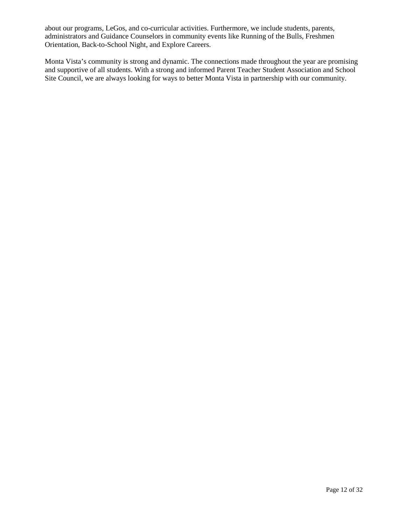about our programs, LeGos, and co-curricular activities. Furthermore, we include students, parents, administrators and Guidance Counselors in community events like Running of the Bulls, Freshmen Orientation, Back-to-School Night, and Explore Careers.

Monta Vista's community is strong and dynamic. The connections made throughout the year are promising and supportive of all students. With a strong and informed Parent Teacher Student Association and School Site Council, we are always looking for ways to better Monta Vista in partnership with our community.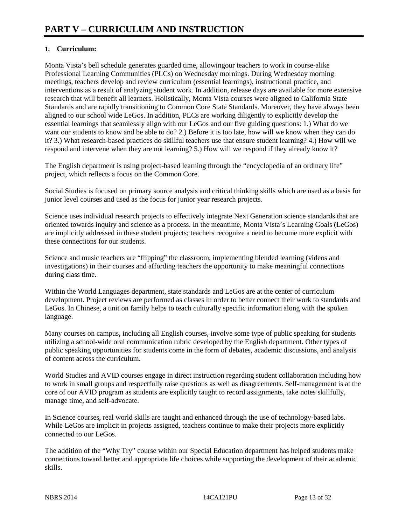# **1. Curriculum:**

Monta Vista's bell schedule generates guarded time, allowingour teachers to work in course-alike Professional Learning Communities (PLCs) on Wednesday mornings. During Wednesday morning meetings, teachers develop and review curriculum (essential learnings), instructional practice, and interventions as a result of analyzing student work. In addition, release days are available for more extensive research that will benefit all learners. Holistically, Monta Vista courses were aligned to California State Standards and are rapidly transitioning to Common Core State Standards. Moreover, they have always been aligned to our school wide LeGos. In addition, PLCs are working diligently to explicitly develop the essential learnings that seamlessly align with our LeGos and our five guiding questions: 1.) What do we want our students to know and be able to do? 2.) Before it is too late, how will we know when they can do it? 3.) What research-based practices do skillful teachers use that ensure student learning? 4.) How will we respond and intervene when they are not learning? 5.) How will we respond if they already know it?

The English department is using project-based learning through the "encyclopedia of an ordinary life" project, which reflects a focus on the Common Core.

Social Studies is focused on primary source analysis and critical thinking skills which are used as a basis for junior level courses and used as the focus for junior year research projects.

Science uses individual research projects to effectively integrate Next Generation science standards that are oriented towards inquiry and science as a process. In the meantime, Monta Vista's Learning Goals (LeGos) are implicitly addressed in these student projects; teachers recognize a need to become more explicit with these connections for our students.

Science and music teachers are "flipping" the classroom, implementing blended learning (videos and investigations) in their courses and affording teachers the opportunity to make meaningful connections during class time.

Within the World Languages department, state standards and LeGos are at the center of curriculum development. Project reviews are performed as classes in order to better connect their work to standards and LeGos. In Chinese, a unit on family helps to teach culturally specific information along with the spoken language.

Many courses on campus, including all English courses, involve some type of public speaking for students utilizing a school-wide oral communication rubric developed by the English department. Other types of public speaking opportunities for students come in the form of debates, academic discussions, and analysis of content across the curriculum.

World Studies and AVID courses engage in direct instruction regarding student collaboration including how to work in small groups and respectfully raise questions as well as disagreements. Self-management is at the core of our AVID program as students are explicitly taught to record assignments, take notes skillfully, manage time, and self-advocate.

In Science courses, real world skills are taught and enhanced through the use of technology-based labs. While LeGos are implicit in projects assigned, teachers continue to make their projects more explicitly connected to our LeGos.

The addition of the "Why Try" course within our Special Education department has helped students make connections toward better and appropriate life choices while supporting the development of their academic skills.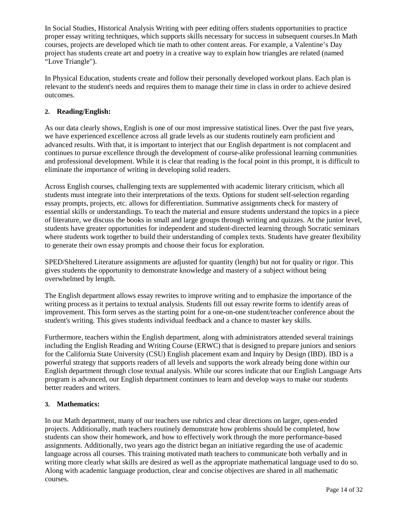In Social Studies, Historical Analysis Writing with peer editing offers students opportunities to practice proper essay writing techniques, which supports skills necessary for success in subsequent courses.In Math courses, projects are developed which tie math to other content areas. For example, a Valentine's Day project has students create art and poetry in a creative way to explain how triangles are related (named "Love Triangle").

In Physical Education, students create and follow their personally developed workout plans. Each plan is relevant to the student's needs and requires them to manage their time in class in order to achieve desired outcomes.

## **2. Reading/English:**

As our data clearly shows, English is one of our most impressive statistical lines. Over the past five years, we have experienced excellence across all grade levels as our students routinely earn proficient and advanced results. With that, it is important to interject that our English department is not complacent and continues to pursue excellence through the development of course-alike professional learning communities and professional development. While it is clear that reading is the focal point in this prompt, it is difficult to eliminate the importance of writing in developing solid readers.

Across English courses, challenging texts are supplemented with academic literary criticism, which all students must integrate into their interpretations of the texts. Options for student self-selection regarding essay prompts, projects, etc. allows for differentiation. Summative assignments check for mastery of essential skills or understandings. To teach the material and ensure students understand the topics in a piece of literature, we discuss the books in small and large groups through writing and quizzes. At the junior level, students have greater opportunities for independent and student-directed learning through Socratic seminars where students work together to build their understanding of complex texts. Students have greater flexibility to generate their own essay prompts and choose their focus for exploration.

SPED/Sheltered Literature assignments are adjusted for quantity (length) but not for quality or rigor. This gives students the opportunity to demonstrate knowledge and mastery of a subject without being overwhelmed by length.

The English department allows essay rewrites to improve writing and to emphasize the importance of the writing process as it pertains to textual analysis. Students fill out essay rewrite forms to identify areas of improvement. This form serves as the starting point for a one-on-one student/teacher conference about the student's writing. This gives students individual feedback and a chance to master key skills.

Furthermore, teachers within the English department, along with administrators attended several trainings including the English Reading and Writing Course (ERWC) that is designed to prepare juniors and seniors for the California State University (CSU) English placement exam and Inquiry by Design (IBD). IBD is a powerful strategy that supports readers of all levels and supports the work already being done within our English department through close textual analysis. While our scores indicate that our English Language Arts program is advanced, our English department continues to learn and develop ways to make our students better readers and writers.

#### **3. Mathematics:**

In our Math department, many of our teachers use rubrics and clear directions on larger, open-ended projects. Additionally, math teachers routinely demonstrate how problems should be completed, how students can show their homework, and how to effectively work through the more performance-based assignments. Additionally, two years ago the district began an initiative regarding the use of academic language across all courses. This training motivated math teachers to communicate both verbally and in writing more clearly what skills are desired as well as the appropriate mathematical language used to do so. Along with academic language production, clear and concise objectives are shared in all mathematic courses.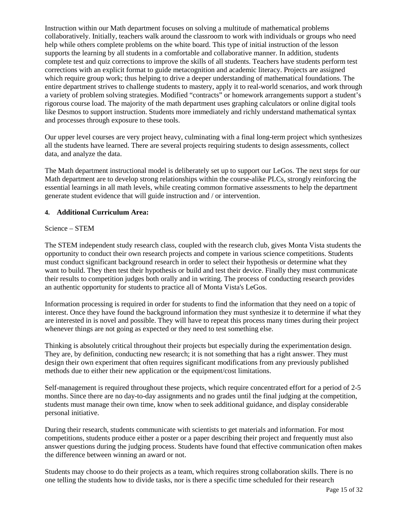Instruction within our Math department focuses on solving a multitude of mathematical problems collaboratively. Initially, teachers walk around the classroom to work with individuals or groups who need help while others complete problems on the white board. This type of initial instruction of the lesson supports the learning by all students in a comfortable and collaborative manner. In addition, students complete test and quiz corrections to improve the skills of all students. Teachers have students perform test corrections with an explicit format to guide metacognition and academic literacy. Projects are assigned which require group work; thus helping to drive a deeper understanding of mathematical foundations. The entire department strives to challenge students to mastery, apply it to real-world scenarios, and work through a variety of problem solving strategies. Modified "contracts" or homework arrangements support a student's rigorous course load. The majority of the math department uses graphing calculators or online digital tools like Desmos to support instruction. Students more immediately and richly understand mathematical syntax and processes through exposure to these tools.

Our upper level courses are very project heavy, culminating with a final long-term project which synthesizes all the students have learned. There are several projects requiring students to design assessments, collect data, and analyze the data.

The Math department instructional model is deliberately set up to support our LeGos. The next steps for our Math department are to develop strong relationships within the course-alike PLCs, strongly reinforcing the essential learnings in all math levels, while creating common formative assessments to help the department generate student evidence that will guide instruction and / or intervention.

#### **4. Additional Curriculum Area:**

#### Science – STEM

The STEM independent study research class, coupled with the research club, gives Monta Vista students the opportunity to conduct their own research projects and compete in various science competitions. Students must conduct significant background research in order to select their hypothesis or determine what they want to build. They then test their hypothesis or build and test their device. Finally they must communicate their results to competition judges both orally and in writing. The process of conducting research provides an authentic opportunity for students to practice all of Monta Vista's LeGos.

Information processing is required in order for students to find the information that they need on a topic of interest. Once they have found the background information they must synthesize it to determine if what they are interested in is novel and possible. They will have to repeat this process many times during their project whenever things are not going as expected or they need to test something else.

Thinking is absolutely critical throughout their projects but especially during the experimentation design. They are, by definition, conducting new research; it is not something that has a right answer. They must design their own experiment that often requires significant modifications from any previously published methods due to either their new application or the equipment/cost limitations.

Self-management is required throughout these projects, which require concentrated effort for a period of 2-5 months. Since there are no day-to-day assignments and no grades until the final judging at the competition, students must manage their own time, know when to seek additional guidance, and display considerable personal initiative.

During their research, students communicate with scientists to get materials and information. For most competitions, students produce either a poster or a paper describing their project and frequently must also answer questions during the judging process. Students have found that effective communication often makes the difference between winning an award or not.

Students may choose to do their projects as a team, which requires strong collaboration skills. There is no one telling the students how to divide tasks, nor is there a specific time scheduled for their research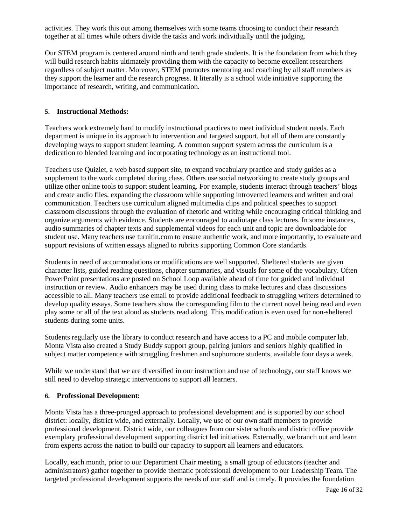activities. They work this out among themselves with some teams choosing to conduct their research together at all times while others divide the tasks and work individually until the judging.

Our STEM program is centered around ninth and tenth grade students. It is the foundation from which they will build research habits ultimately providing them with the capacity to become excellent researchers regardless of subject matter. Moreover, STEM promotes mentoring and coaching by all staff members as they support the learner and the research progress. It literally is a school wide initiative supporting the importance of research, writing, and communication.

#### **5. Instructional Methods:**

Teachers work extremely hard to modify instructional practices to meet individual student needs. Each department is unique in its approach to intervention and targeted support, but all of them are constantly developing ways to support student learning. A common support system across the curriculum is a dedication to blended learning and incorporating technology as an instructional tool.

Teachers use Quizlet, a web based support site, to expand vocabulary practice and study guides as a supplement to the work completed during class. Others use social networking to create study groups and utilize other online tools to support student learning. For example, students interact through teachers' blogs and create audio files, expanding the classroom while supporting introverted learners and written and oral communication. Teachers use curriculum aligned multimedia clips and political speeches to support classroom discussions through the evaluation of rhetoric and writing while encouraging critical thinking and organize arguments with evidence. Students are encouraged to audiotape class lectures. In some instances, audio summaries of chapter texts and supplemental videos for each unit and topic are downloadable for student use. Many teachers use turnitin.com to ensure authentic work, and more importantly, to evaluate and support revisions of written essays aligned to rubrics supporting Common Core standards.

Students in need of accommodations or modifications are well supported. Sheltered students are given character lists, guided reading questions, chapter summaries, and visuals for some of the vocabulary. Often PowerPoint presentations are posted on School Loop available ahead of time for guided and individual instruction or review. Audio enhancers may be used during class to make lectures and class discussions accessible to all. Many teachers use email to provide additional feedback to struggling writers determined to develop quality essays. Some teachers show the corresponding film to the current novel being read and even play some or all of the text aloud as students read along. This modification is even used for non-sheltered students during some units.

Students regularly use the library to conduct research and have access to a PC and mobile computer lab. Monta Vista also created a Study Buddy support group, pairing juniors and seniors highly qualified in subject matter competence with struggling freshmen and sophomore students, available four days a week.

While we understand that we are diversified in our instruction and use of technology, our staff knows we still need to develop strategic interventions to support all learners.

#### **6. Professional Development:**

Monta Vista has a three-pronged approach to professional development and is supported by our school district: locally, district wide, and externally. Locally, we use of our own staff members to provide professional development. District wide, our colleagues from our sister schools and district office provide exemplary professional development supporting district led initiatives. Externally, we branch out and learn from experts across the nation to build our capacity to support all learners and educators.

Locally, each month, prior to our Department Chair meeting, a small group of educators (teacher and administrators) gather together to provide thematic professional development to our Leadership Team. The targeted professional development supports the needs of our staff and is timely. It provides the foundation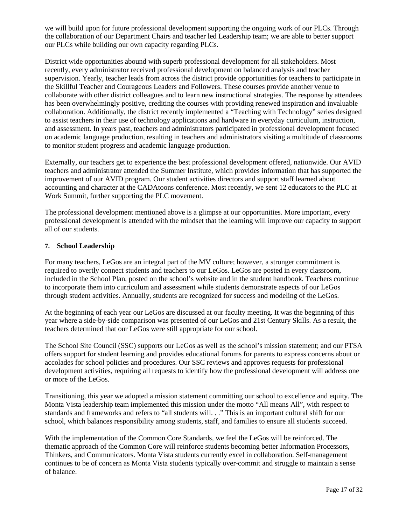we will build upon for future professional development supporting the ongoing work of our PLCs. Through the collaboration of our Department Chairs and teacher led Leadership team; we are able to better support our PLCs while building our own capacity regarding PLCs.

District wide opportunities abound with superb professional development for all stakeholders. Most recently, every administrator received professional development on balanced analysis and teacher supervision. Yearly, teacher leads from across the district provide opportunities for teachers to participate in the Skillful Teacher and Courageous Leaders and Followers. These courses provide another venue to collaborate with other district colleagues and to learn new instructional strategies. The response by attendees has been overwhelmingly positive, crediting the courses with providing renewed inspiration and invaluable collaboration. Additionally, the district recently implemented a "Teaching with Technology" series designed to assist teachers in their use of technology applications and hardware in everyday curriculum, instruction, and assessment. In years past, teachers and administrators participated in professional development focused on academic language production, resulting in teachers and administrators visiting a multitude of classrooms to monitor student progress and academic language production.

Externally, our teachers get to experience the best professional development offered, nationwide. Our AVID teachers and administrator attended the Summer Institute, which provides information that has supported the improvement of our AVID program. Our student activities directors and support staff learned about accounting and character at the CADAtoons conference. Most recently, we sent 12 educators to the PLC at Work Summit, further supporting the PLC movement.

The professional development mentioned above is a glimpse at our opportunities. More important, every professional development is attended with the mindset that the learning will improve our capacity to support all of our students.

#### **7. School Leadership**

For many teachers, LeGos are an integral part of the MV culture; however, a stronger commitment is required to overtly connect students and teachers to our LeGos. LeGos are posted in every classroom, included in the School Plan, posted on the school's website and in the student handbook. Teachers continue to incorporate them into curriculum and assessment while students demonstrate aspects of our LeGos through student activities. Annually, students are recognized for success and modeling of the LeGos.

At the beginning of each year our LeGos are discussed at our faculty meeting. It was the beginning of this year where a side-by-side comparison was presented of our LeGos and 21st Century Skills. As a result, the teachers determined that our LeGos were still appropriate for our school.

The School Site Council (SSC) supports our LeGos as well as the school's mission statement; and our PTSA offers support for student learning and provides educational forums for parents to express concerns about or accolades for school policies and procedures. Our SSC reviews and approves requests for professional development activities, requiring all requests to identify how the professional development will address one or more of the LeGos.

Transitioning, this year we adopted a mission statement committing our school to excellence and equity. The Monta Vista leadership team implemented this mission under the motto "All means All", with respect to standards and frameworks and refers to "all students will. . ." This is an important cultural shift for our school, which balances responsibility among students, staff, and families to ensure all students succeed.

With the implementation of the Common Core Standards, we feel the LeGos will be reinforced. The thematic approach of the Common Core will reinforce students becoming better Information Processors, Thinkers, and Communicators. Monta Vista students currently excel in collaboration. Self-management continues to be of concern as Monta Vista students typically over-commit and struggle to maintain a sense of balance.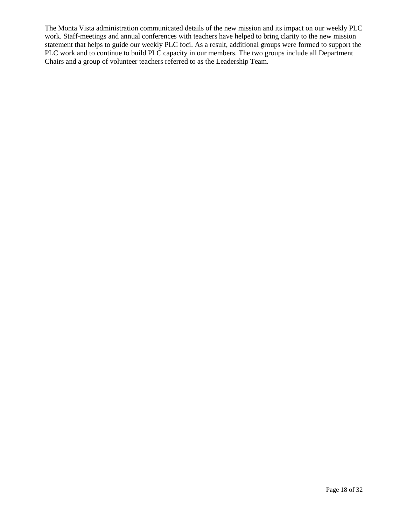The Monta Vista administration communicated details of the new mission and its impact on our weekly PLC work. Staff-meetings and annual conferences with teachers have helped to bring clarity to the new mission statement that helps to guide our weekly PLC foci. As a result, additional groups were formed to support the PLC work and to continue to build PLC capacity in our members. The two groups include all Department Chairs and a group of volunteer teachers referred to as the Leadership Team.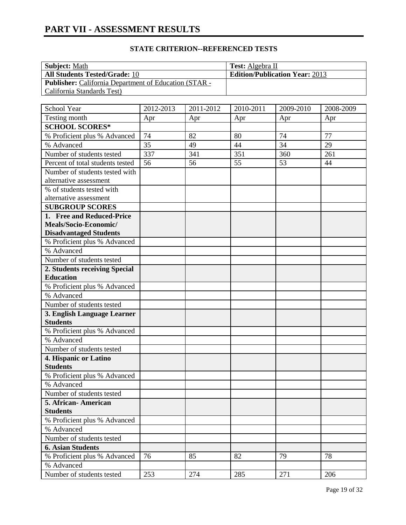# **PART VII - ASSESSMENT RESULTS**

| <b>Subject:</b> Math                                         | <b>Test:</b> Algebra II               |
|--------------------------------------------------------------|---------------------------------------|
| <b>All Students Tested/Grade: 10</b>                         | <b>Edition/Publication Year: 2013</b> |
| <b>Publisher:</b> California Department of Education (STAR - |                                       |
| California Standards Test)                                   |                                       |

| School Year                                | 2012-2013 | 2011-2012 | 2010-2011 | 2009-2010 | 2008-2009 |
|--------------------------------------------|-----------|-----------|-----------|-----------|-----------|
| Testing month                              | Apr       | Apr       | Apr       | Apr       | Apr       |
| <b>SCHOOL SCORES*</b>                      |           |           |           |           |           |
| % Proficient plus % Advanced               | 74        | 82        | 80        | 74        | 77        |
| % Advanced                                 | 35        | 49        | 44        | 34        | 29        |
| Number of students tested                  | 337       | 341       | 351       | 360       | 261       |
| Percent of total students tested           | 56        | 56        | 55        | 53        | 44        |
| Number of students tested with             |           |           |           |           |           |
| alternative assessment                     |           |           |           |           |           |
| % of students tested with                  |           |           |           |           |           |
| alternative assessment                     |           |           |           |           |           |
| <b>SUBGROUP SCORES</b>                     |           |           |           |           |           |
| 1. Free and Reduced-Price                  |           |           |           |           |           |
| Meals/Socio-Economic/                      |           |           |           |           |           |
| <b>Disadvantaged Students</b>              |           |           |           |           |           |
| % Proficient plus % Advanced               |           |           |           |           |           |
| % Advanced                                 |           |           |           |           |           |
| Number of students tested                  |           |           |           |           |           |
| 2. Students receiving Special              |           |           |           |           |           |
| <b>Education</b>                           |           |           |           |           |           |
| % Proficient plus % Advanced               |           |           |           |           |           |
| % Advanced                                 |           |           |           |           |           |
| Number of students tested                  |           |           |           |           |           |
| 3. English Language Learner                |           |           |           |           |           |
| <b>Students</b>                            |           |           |           |           |           |
| % Proficient plus % Advanced               |           |           |           |           |           |
| % Advanced                                 |           |           |           |           |           |
| Number of students tested                  |           |           |           |           |           |
| 4. Hispanic or Latino                      |           |           |           |           |           |
| <b>Students</b>                            |           |           |           |           |           |
| % Proficient plus % Advanced               |           |           |           |           |           |
| % Advanced                                 |           |           |           |           |           |
| Number of students tested                  |           |           |           |           |           |
| 5. African-American                        |           |           |           |           |           |
| <b>Students</b>                            |           |           |           |           |           |
| % Proficient plus % Advanced<br>% Advanced |           |           |           |           |           |
|                                            |           |           |           |           |           |
| Number of students tested                  |           |           |           |           |           |
| <b>6. Asian Students</b>                   | 76        | 85        | 82        | 79        | 78        |
| % Proficient plus % Advanced<br>% Advanced |           |           |           |           |           |
|                                            |           |           |           |           |           |
| Number of students tested                  | 253       | 274       | 285       | 271       | 206       |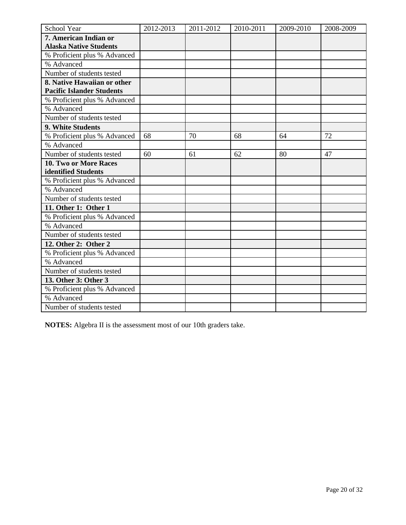| School Year                      | 2012-2013 | 2011-2012 | 2010-2011 | 2009-2010 | 2008-2009 |
|----------------------------------|-----------|-----------|-----------|-----------|-----------|
| 7. American Indian or            |           |           |           |           |           |
| <b>Alaska Native Students</b>    |           |           |           |           |           |
| % Proficient plus % Advanced     |           |           |           |           |           |
| % Advanced                       |           |           |           |           |           |
| Number of students tested        |           |           |           |           |           |
| 8. Native Hawaiian or other      |           |           |           |           |           |
| <b>Pacific Islander Students</b> |           |           |           |           |           |
| % Proficient plus % Advanced     |           |           |           |           |           |
| % Advanced                       |           |           |           |           |           |
| Number of students tested        |           |           |           |           |           |
| 9. White Students                |           |           |           |           |           |
| % Proficient plus % Advanced     | 68        | 70        | 68        | 64        | 72        |
| % Advanced                       |           |           |           |           |           |
| Number of students tested        | 60        | 61        | 62        | 80        | 47        |
| 10. Two or More Races            |           |           |           |           |           |
| identified Students              |           |           |           |           |           |
| % Proficient plus % Advanced     |           |           |           |           |           |
| % Advanced                       |           |           |           |           |           |
| Number of students tested        |           |           |           |           |           |
| 11. Other 1: Other 1             |           |           |           |           |           |
| % Proficient plus % Advanced     |           |           |           |           |           |
| % Advanced                       |           |           |           |           |           |
| Number of students tested        |           |           |           |           |           |
| 12. Other 2: Other 2             |           |           |           |           |           |
| % Proficient plus % Advanced     |           |           |           |           |           |
| % Advanced                       |           |           |           |           |           |
| Number of students tested        |           |           |           |           |           |
| 13. Other 3: Other 3             |           |           |           |           |           |
| % Proficient plus % Advanced     |           |           |           |           |           |
| % Advanced                       |           |           |           |           |           |
| Number of students tested        |           |           |           |           |           |

**NOTES:** Algebra II is the assessment most of our 10th graders take.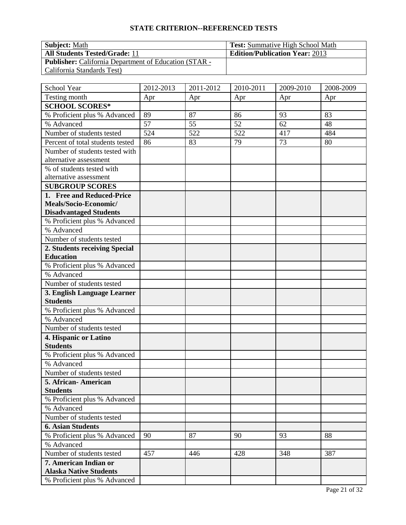| <b>Subject: Math</b>                                         | <b>Test:</b> Summative High School Math |
|--------------------------------------------------------------|-----------------------------------------|
| <b>All Students Tested/Grade: 11</b>                         | <b>Edition/Publication Year: 2013</b>   |
| <b>Publisher:</b> California Department of Education (STAR - |                                         |
| California Standards Test)                                   |                                         |

| School Year                                      | 2012-2013 | 2011-2012 | 2010-2011 | 2009-2010 | 2008-2009 |
|--------------------------------------------------|-----------|-----------|-----------|-----------|-----------|
| Testing month                                    | Apr       | Apr       | Apr       | Apr       | Apr       |
| <b>SCHOOL SCORES*</b>                            |           |           |           |           |           |
| % Proficient plus % Advanced                     | 89        | 87        | 86        | 93        | 83        |
| % Advanced                                       | 57        | 55        | 52        | 62        | 48        |
| Number of students tested                        | 524       | 522       | 522       | 417       | 484       |
| Percent of total students tested                 | 86        | 83        | 79        | 73        | 80        |
| Number of students tested with                   |           |           |           |           |           |
| alternative assessment                           |           |           |           |           |           |
| % of students tested with                        |           |           |           |           |           |
| alternative assessment                           |           |           |           |           |           |
| <b>SUBGROUP SCORES</b>                           |           |           |           |           |           |
| 1. Free and Reduced-Price                        |           |           |           |           |           |
| Meals/Socio-Economic/                            |           |           |           |           |           |
| <b>Disadvantaged Students</b>                    |           |           |           |           |           |
| % Proficient plus % Advanced                     |           |           |           |           |           |
| % Advanced                                       |           |           |           |           |           |
| Number of students tested                        |           |           |           |           |           |
| 2. Students receiving Special                    |           |           |           |           |           |
| <b>Education</b><br>% Proficient plus % Advanced |           |           |           |           |           |
|                                                  |           |           |           |           |           |
| % Advanced                                       |           |           |           |           |           |
| Number of students tested                        |           |           |           |           |           |
| 3. English Language Learner<br><b>Students</b>   |           |           |           |           |           |
| % Proficient plus % Advanced                     |           |           |           |           |           |
| % Advanced                                       |           |           |           |           |           |
| Number of students tested                        |           |           |           |           |           |
| 4. Hispanic or Latino                            |           |           |           |           |           |
| <b>Students</b>                                  |           |           |           |           |           |
| % Proficient plus % Advanced                     |           |           |           |           |           |
| % Advanced                                       |           |           |           |           |           |
| Number of students tested                        |           |           |           |           |           |
| 5. African-American                              |           |           |           |           |           |
| <b>Students</b>                                  |           |           |           |           |           |
| % Proficient plus % Advanced                     |           |           |           |           |           |
| % Advanced                                       |           |           |           |           |           |
| Number of students tested                        |           |           |           |           |           |
| <b>6. Asian Students</b>                         |           |           |           |           |           |
| % Proficient plus % Advanced                     | 90        | 87        | 90        | 93        | 88        |
| % Advanced                                       |           |           |           |           |           |
| Number of students tested                        | 457       | 446       | 428       | 348       | 387       |
| 7. American Indian or                            |           |           |           |           |           |
| <b>Alaska Native Students</b>                    |           |           |           |           |           |
| % Proficient plus % Advanced                     |           |           |           |           |           |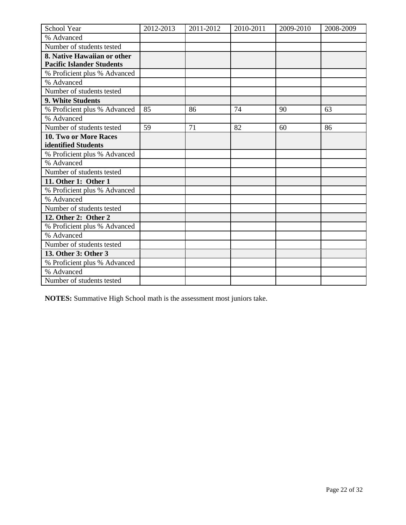| School Year                      | 2012-2013 | 2011-2012 | 2010-2011 | 2009-2010 | 2008-2009 |
|----------------------------------|-----------|-----------|-----------|-----------|-----------|
| % Advanced                       |           |           |           |           |           |
| Number of students tested        |           |           |           |           |           |
| 8. Native Hawaiian or other      |           |           |           |           |           |
| <b>Pacific Islander Students</b> |           |           |           |           |           |
| % Proficient plus % Advanced     |           |           |           |           |           |
| % Advanced                       |           |           |           |           |           |
| Number of students tested        |           |           |           |           |           |
| 9. White Students                |           |           |           |           |           |
| % Proficient plus % Advanced     | 85        | 86        | 74        | 90        | 63        |
| % Advanced                       |           |           |           |           |           |
| Number of students tested        | 59        | 71        | 82        | 60        | 86        |
| 10. Two or More Races            |           |           |           |           |           |
| identified Students              |           |           |           |           |           |
| % Proficient plus % Advanced     |           |           |           |           |           |
| % Advanced                       |           |           |           |           |           |
| Number of students tested        |           |           |           |           |           |
| 11. Other 1: Other 1             |           |           |           |           |           |
| % Proficient plus % Advanced     |           |           |           |           |           |
| % Advanced                       |           |           |           |           |           |
| Number of students tested        |           |           |           |           |           |
| 12. Other 2: Other 2             |           |           |           |           |           |
| % Proficient plus % Advanced     |           |           |           |           |           |
| % Advanced                       |           |           |           |           |           |
| Number of students tested        |           |           |           |           |           |
| 13. Other 3: Other 3             |           |           |           |           |           |
| % Proficient plus % Advanced     |           |           |           |           |           |
| % Advanced                       |           |           |           |           |           |
| Number of students tested        |           |           |           |           |           |

**NOTES:** Summative High School math is the assessment most juniors take.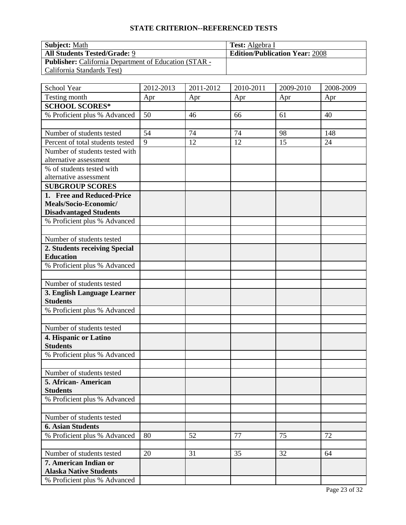| <b>Subject: Math</b>                                         | <b>Test:</b> Algebra I                |
|--------------------------------------------------------------|---------------------------------------|
| <b>All Students Tested/Grade: 9</b>                          | <b>Edition/Publication Year: 2008</b> |
| <b>Publisher:</b> California Department of Education (STAR - |                                       |
| California Standards Test)                                   |                                       |

| School Year                                            | 2012-2013 | 2011-2012 | 2010-2011 | 2009-2010 | 2008-2009 |
|--------------------------------------------------------|-----------|-----------|-----------|-----------|-----------|
| Testing month                                          | Apr       | Apr       | Apr       | Apr       | Apr       |
| <b>SCHOOL SCORES*</b>                                  |           |           |           |           |           |
| % Proficient plus % Advanced                           | 50        | 46        | 66        | 61        | 40        |
|                                                        |           |           |           |           |           |
| Number of students tested                              | 54        | 74        | 74        | 98        | 148       |
| Percent of total students tested                       | 9         | 12        | 12        | 15        | 24        |
| Number of students tested with                         |           |           |           |           |           |
| alternative assessment                                 |           |           |           |           |           |
| % of students tested with                              |           |           |           |           |           |
| alternative assessment                                 |           |           |           |           |           |
| <b>SUBGROUP SCORES</b>                                 |           |           |           |           |           |
| 1. Free and Reduced-Price                              |           |           |           |           |           |
| Meals/Socio-Economic/                                  |           |           |           |           |           |
| <b>Disadvantaged Students</b>                          |           |           |           |           |           |
| % Proficient plus % Advanced                           |           |           |           |           |           |
|                                                        |           |           |           |           |           |
| Number of students tested                              |           |           |           |           |           |
| 2. Students receiving Special                          |           |           |           |           |           |
| <b>Education</b>                                       |           |           |           |           |           |
| % Proficient plus % Advanced                           |           |           |           |           |           |
| Number of students tested                              |           |           |           |           |           |
|                                                        |           |           |           |           |           |
| 3. English Language Learner<br><b>Students</b>         |           |           |           |           |           |
| % Proficient plus % Advanced                           |           |           |           |           |           |
|                                                        |           |           |           |           |           |
| Number of students tested                              |           |           |           |           |           |
| 4. Hispanic or Latino                                  |           |           |           |           |           |
| <b>Students</b>                                        |           |           |           |           |           |
| % Proficient plus % Advanced                           |           |           |           |           |           |
|                                                        |           |           |           |           |           |
| Number of students tested                              |           |           |           |           |           |
| 5. African-American<br><b>Students</b>                 |           |           |           |           |           |
| % Proficient plus % Advanced                           |           |           |           |           |           |
|                                                        |           |           |           |           |           |
| Number of students tested                              |           |           |           |           |           |
| <b>6. Asian Students</b>                               |           |           |           |           |           |
| % Proficient plus % Advanced                           | 80        | 52        | 77        | 75        | 72        |
|                                                        |           |           |           |           |           |
| Number of students tested                              | 20        | 31        | 35        | 32        | 64        |
| 7. American Indian or<br><b>Alaska Native Students</b> |           |           |           |           |           |
| % Proficient plus % Advanced                           |           |           |           |           |           |
|                                                        |           |           |           |           |           |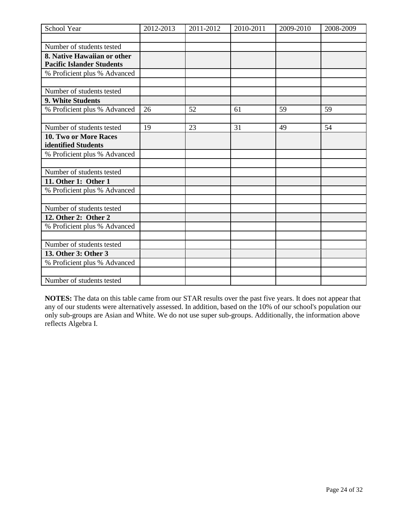| School Year                                                     | 2012-2013 | 2011-2012 | 2010-2011 | 2009-2010 | 2008-2009 |
|-----------------------------------------------------------------|-----------|-----------|-----------|-----------|-----------|
|                                                                 |           |           |           |           |           |
| Number of students tested                                       |           |           |           |           |           |
| 8. Native Hawaiian or other<br><b>Pacific Islander Students</b> |           |           |           |           |           |
| % Proficient plus % Advanced                                    |           |           |           |           |           |
|                                                                 |           |           |           |           |           |
| Number of students tested                                       |           |           |           |           |           |
| 9. White Students                                               |           |           |           |           |           |
| % Proficient plus % Advanced                                    | 26        | 52        | 61        | 59        | 59        |
|                                                                 |           |           |           |           |           |
| Number of students tested                                       | 19        | 23        | 31        | 49        | 54        |
| 10. Two or More Races                                           |           |           |           |           |           |
| identified Students                                             |           |           |           |           |           |
| % Proficient plus % Advanced                                    |           |           |           |           |           |
|                                                                 |           |           |           |           |           |
| Number of students tested                                       |           |           |           |           |           |
| 11. Other 1: Other 1                                            |           |           |           |           |           |
| % Proficient plus % Advanced                                    |           |           |           |           |           |
|                                                                 |           |           |           |           |           |
| Number of students tested                                       |           |           |           |           |           |
| 12. Other 2: Other 2                                            |           |           |           |           |           |
| % Proficient plus % Advanced                                    |           |           |           |           |           |
|                                                                 |           |           |           |           |           |
| Number of students tested                                       |           |           |           |           |           |
| 13. Other 3: Other 3                                            |           |           |           |           |           |
| % Proficient plus % Advanced                                    |           |           |           |           |           |
|                                                                 |           |           |           |           |           |
| Number of students tested                                       |           |           |           |           |           |

**NOTES:** The data on this table came from our STAR results over the past five years. It does not appear that any of our students were alternatively assessed. In addition, based on the 10% of our school's population our only sub-groups are Asian and White. We do not use super sub-groups. Additionally, the information above reflects Algebra I.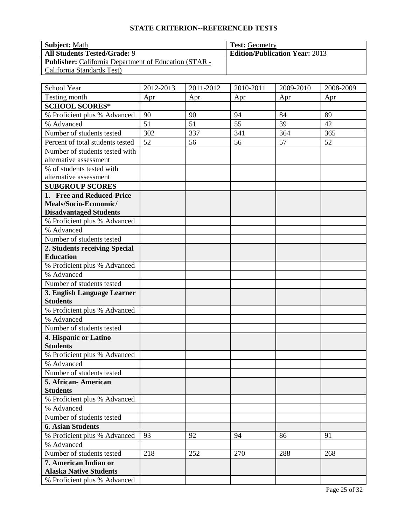| <b>Subject:</b> Math                                         | <b>Test:</b> Geometry                 |
|--------------------------------------------------------------|---------------------------------------|
| <b>All Students Tested/Grade: 9</b>                          | <b>Edition/Publication Year: 2013</b> |
| <b>Publisher:</b> California Department of Education (STAR - |                                       |
| California Standards Test)                                   |                                       |

| School Year                                | 2012-2013 | 2011-2012 | 2010-2011 | 2009-2010 | 2008-2009 |
|--------------------------------------------|-----------|-----------|-----------|-----------|-----------|
| Testing month                              | Apr       | Apr       | Apr       | Apr       | Apr       |
| <b>SCHOOL SCORES*</b>                      |           |           |           |           |           |
| % Proficient plus % Advanced               | 90        | 90        | 94        | 84        | 89        |
| % Advanced                                 | 51        | 51        | 55        | 39        | 42        |
| Number of students tested                  | 302       | 337       | 341       | 364       | 365       |
| Percent of total students tested           | 52        | 56        | 56        | 57        | 52        |
| Number of students tested with             |           |           |           |           |           |
| alternative assessment                     |           |           |           |           |           |
| % of students tested with                  |           |           |           |           |           |
| alternative assessment                     |           |           |           |           |           |
| <b>SUBGROUP SCORES</b>                     |           |           |           |           |           |
| 1. Free and Reduced-Price                  |           |           |           |           |           |
| Meals/Socio-Economic/                      |           |           |           |           |           |
| <b>Disadvantaged Students</b>              |           |           |           |           |           |
| % Proficient plus % Advanced               |           |           |           |           |           |
| % Advanced                                 |           |           |           |           |           |
| Number of students tested                  |           |           |           |           |           |
| 2. Students receiving Special              |           |           |           |           |           |
| <b>Education</b>                           |           |           |           |           |           |
| % Proficient plus % Advanced               |           |           |           |           |           |
| % Advanced                                 |           |           |           |           |           |
| Number of students tested                  |           |           |           |           |           |
| 3. English Language Learner                |           |           |           |           |           |
| <b>Students</b>                            |           |           |           |           |           |
| % Proficient plus % Advanced               |           |           |           |           |           |
| % Advanced                                 |           |           |           |           |           |
| Number of students tested                  |           |           |           |           |           |
| 4. Hispanic or Latino<br><b>Students</b>   |           |           |           |           |           |
|                                            |           |           |           |           |           |
| % Proficient plus % Advanced<br>% Advanced |           |           |           |           |           |
|                                            |           |           |           |           |           |
| Number of students tested                  |           |           |           |           |           |
| 5. African- American<br><b>Students</b>    |           |           |           |           |           |
| % Proficient plus % Advanced               |           |           |           |           |           |
| % Advanced                                 |           |           |           |           |           |
| Number of students tested                  |           |           |           |           |           |
| <b>6. Asian Students</b>                   |           |           |           |           |           |
| % Proficient plus % Advanced               | 93        | 92        | 94        | 86        | 91        |
| % Advanced                                 |           |           |           |           |           |
| Number of students tested                  | 218       | 252       | 270       | 288       | 268       |
| 7. American Indian or                      |           |           |           |           |           |
| <b>Alaska Native Students</b>              |           |           |           |           |           |
| % Proficient plus % Advanced               |           |           |           |           |           |
|                                            |           |           |           |           |           |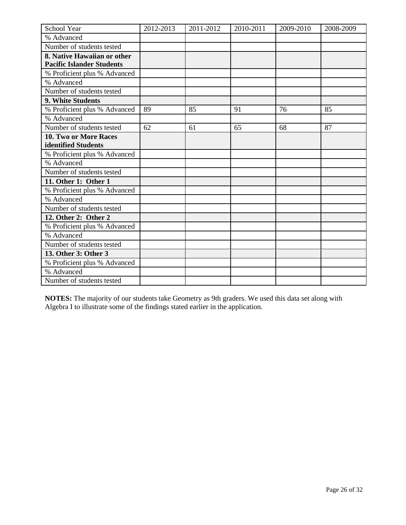| School Year                      | 2012-2013 | 2011-2012 | 2010-2011 | 2009-2010 | 2008-2009 |
|----------------------------------|-----------|-----------|-----------|-----------|-----------|
| % Advanced                       |           |           |           |           |           |
| Number of students tested        |           |           |           |           |           |
| 8. Native Hawaiian or other      |           |           |           |           |           |
| <b>Pacific Islander Students</b> |           |           |           |           |           |
| % Proficient plus % Advanced     |           |           |           |           |           |
| % Advanced                       |           |           |           |           |           |
| Number of students tested        |           |           |           |           |           |
| 9. White Students                |           |           |           |           |           |
| % Proficient plus % Advanced     | 89        | 85        | 91        | 76        | 85        |
| % Advanced                       |           |           |           |           |           |
| Number of students tested        | 62        | 61        | 65        | 68        | 87        |
| 10. Two or More Races            |           |           |           |           |           |
| identified Students              |           |           |           |           |           |
| % Proficient plus % Advanced     |           |           |           |           |           |
| % Advanced                       |           |           |           |           |           |
| Number of students tested        |           |           |           |           |           |
| 11. Other 1: Other 1             |           |           |           |           |           |
| % Proficient plus % Advanced     |           |           |           |           |           |
| % Advanced                       |           |           |           |           |           |
| Number of students tested        |           |           |           |           |           |
| 12. Other 2: Other 2             |           |           |           |           |           |
| % Proficient plus % Advanced     |           |           |           |           |           |
| % Advanced                       |           |           |           |           |           |
| Number of students tested        |           |           |           |           |           |
| 13. Other 3: Other 3             |           |           |           |           |           |
| % Proficient plus % Advanced     |           |           |           |           |           |
| % Advanced                       |           |           |           |           |           |
| Number of students tested        |           |           |           |           |           |

**NOTES:** The majority of our students take Geometry as 9th graders. We used this data set along with Algebra I to illustrate some of the findings stated earlier in the application.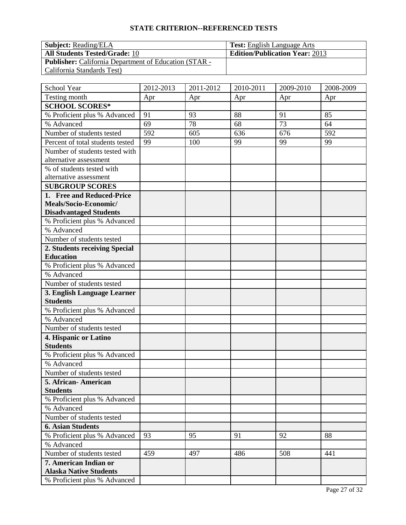| <b>Subject:</b> Reading/ELA                                  | <b>Test:</b> English Language Arts    |
|--------------------------------------------------------------|---------------------------------------|
| <b>All Students Tested/Grade: 10</b>                         | <b>Edition/Publication Year: 2013</b> |
| <b>Publisher:</b> California Department of Education (STAR - |                                       |
| California Standards Test)                                   |                                       |

| School Year                      | 2012-2013 | 2011-2012 | 2010-2011 | 2009-2010 | 2008-2009 |
|----------------------------------|-----------|-----------|-----------|-----------|-----------|
| Testing month                    | Apr       | Apr       | Apr       | Apr       | Apr       |
| <b>SCHOOL SCORES*</b>            |           |           |           |           |           |
| % Proficient plus % Advanced     | 91        | 93        | 88        | 91        | 85        |
| % Advanced                       | 69        | 78        | 68        | 73        | 64        |
| Number of students tested        | 592       | 605       | 636       | 676       | 592       |
| Percent of total students tested | 99        | 100       | 99        | 99        | 99        |
| Number of students tested with   |           |           |           |           |           |
| alternative assessment           |           |           |           |           |           |
| % of students tested with        |           |           |           |           |           |
| alternative assessment           |           |           |           |           |           |
| <b>SUBGROUP SCORES</b>           |           |           |           |           |           |
| 1. Free and Reduced-Price        |           |           |           |           |           |
| Meals/Socio-Economic/            |           |           |           |           |           |
| <b>Disadvantaged Students</b>    |           |           |           |           |           |
| % Proficient plus % Advanced     |           |           |           |           |           |
| % Advanced                       |           |           |           |           |           |
| Number of students tested        |           |           |           |           |           |
| 2. Students receiving Special    |           |           |           |           |           |
| <b>Education</b>                 |           |           |           |           |           |
| % Proficient plus % Advanced     |           |           |           |           |           |
| % Advanced                       |           |           |           |           |           |
| Number of students tested        |           |           |           |           |           |
| 3. English Language Learner      |           |           |           |           |           |
| <b>Students</b>                  |           |           |           |           |           |
| % Proficient plus % Advanced     |           |           |           |           |           |
| % Advanced                       |           |           |           |           |           |
| Number of students tested        |           |           |           |           |           |
| 4. Hispanic or Latino            |           |           |           |           |           |
| <b>Students</b>                  |           |           |           |           |           |
| % Proficient plus % Advanced     |           |           |           |           |           |
| % Advanced                       |           |           |           |           |           |
| Number of students tested        |           |           |           |           |           |
| 5. African - American            |           |           |           |           |           |
| <b>Students</b>                  |           |           |           |           |           |
| % Proficient plus % Advanced     |           |           |           |           |           |
| % Advanced                       |           |           |           |           |           |
| Number of students tested        |           |           |           |           |           |
| <b>6. Asian Students</b>         |           |           |           |           |           |
| % Proficient plus % Advanced     | 93        | 95        | 91        | 92        | 88        |
| % Advanced                       |           |           |           |           |           |
| Number of students tested        | 459       | 497       | 486       | 508       | 441       |
| 7. American Indian or            |           |           |           |           |           |
| <b>Alaska Native Students</b>    |           |           |           |           |           |
| % Proficient plus % Advanced     |           |           |           |           |           |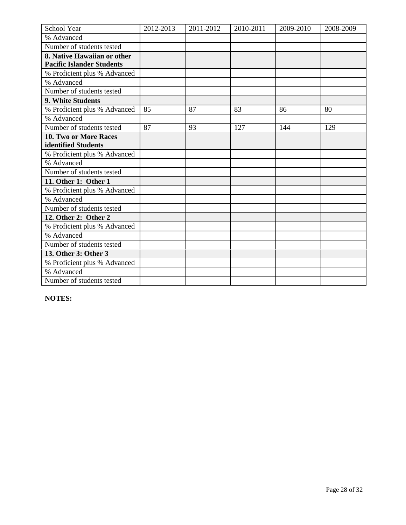| School Year                      | 2012-2013 | 2011-2012 | 2010-2011 | 2009-2010 | 2008-2009 |
|----------------------------------|-----------|-----------|-----------|-----------|-----------|
| % Advanced                       |           |           |           |           |           |
| Number of students tested        |           |           |           |           |           |
| 8. Native Hawaiian or other      |           |           |           |           |           |
| <b>Pacific Islander Students</b> |           |           |           |           |           |
| % Proficient plus % Advanced     |           |           |           |           |           |
| % Advanced                       |           |           |           |           |           |
| Number of students tested        |           |           |           |           |           |
| 9. White Students                |           |           |           |           |           |
| % Proficient plus % Advanced     | 85        | 87        | 83        | 86        | 80        |
| % Advanced                       |           |           |           |           |           |
| Number of students tested        | 87        | 93        | 127       | 144       | 129       |
| 10. Two or More Races            |           |           |           |           |           |
| identified Students              |           |           |           |           |           |
| % Proficient plus % Advanced     |           |           |           |           |           |
| % Advanced                       |           |           |           |           |           |
| Number of students tested        |           |           |           |           |           |
| 11. Other 1: Other 1             |           |           |           |           |           |
| % Proficient plus % Advanced     |           |           |           |           |           |
| % Advanced                       |           |           |           |           |           |
| Number of students tested        |           |           |           |           |           |
| 12. Other 2: Other 2             |           |           |           |           |           |
| % Proficient plus % Advanced     |           |           |           |           |           |
| % Advanced                       |           |           |           |           |           |
| Number of students tested        |           |           |           |           |           |
| 13. Other 3: Other 3             |           |           |           |           |           |
| % Proficient plus % Advanced     |           |           |           |           |           |
| % Advanced                       |           |           |           |           |           |
| Number of students tested        |           |           |           |           |           |

**NOTES:**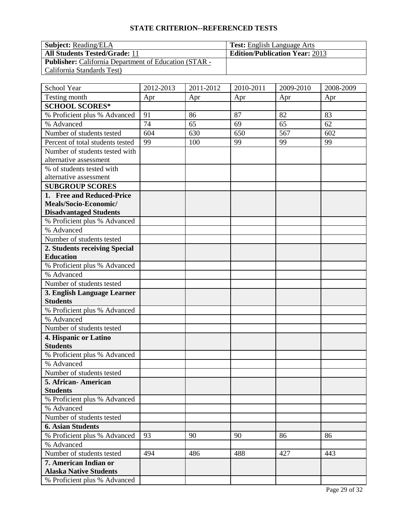| <b>Subject:</b> Reading/ELA                                  | <b>Test:</b> English Language Arts    |
|--------------------------------------------------------------|---------------------------------------|
| <b>All Students Tested/Grade: 11</b>                         | <b>Edition/Publication Year: 2013</b> |
| <b>Publisher:</b> California Department of Education (STAR - |                                       |
| California Standards Test)                                   |                                       |

| School Year                                              | 2012-2013 | 2011-2012 | 2010-2011 | 2009-2010 | 2008-2009 |
|----------------------------------------------------------|-----------|-----------|-----------|-----------|-----------|
| Testing month                                            | Apr       | Apr       | Apr       | Apr       | Apr       |
| <b>SCHOOL SCORES*</b>                                    |           |           |           |           |           |
| % Proficient plus % Advanced                             | 91        | 86        | 87        | 82        | 83        |
| % Advanced                                               | 74        | 65        | 69        | 65        | 62        |
| Number of students tested                                | 604       | 630       | 650       | 567       | 602       |
| Percent of total students tested                         | 99        | 100       | 99        | 99        | 99        |
| Number of students tested with<br>alternative assessment |           |           |           |           |           |
| % of students tested with                                |           |           |           |           |           |
| alternative assessment                                   |           |           |           |           |           |
| <b>SUBGROUP SCORES</b>                                   |           |           |           |           |           |
| 1. Free and Reduced-Price                                |           |           |           |           |           |
| Meals/Socio-Economic/                                    |           |           |           |           |           |
| <b>Disadvantaged Students</b>                            |           |           |           |           |           |
| % Proficient plus % Advanced                             |           |           |           |           |           |
| % Advanced                                               |           |           |           |           |           |
| Number of students tested                                |           |           |           |           |           |
| 2. Students receiving Special                            |           |           |           |           |           |
| <b>Education</b>                                         |           |           |           |           |           |
| % Proficient plus % Advanced                             |           |           |           |           |           |
| % Advanced                                               |           |           |           |           |           |
| Number of students tested                                |           |           |           |           |           |
| 3. English Language Learner                              |           |           |           |           |           |
| <b>Students</b>                                          |           |           |           |           |           |
| % Proficient plus % Advanced                             |           |           |           |           |           |
| % Advanced                                               |           |           |           |           |           |
| Number of students tested                                |           |           |           |           |           |
| 4. Hispanic or Latino                                    |           |           |           |           |           |
| <b>Students</b>                                          |           |           |           |           |           |
| % Proficient plus % Advanced                             |           |           |           |           |           |
| % Advanced                                               |           |           |           |           |           |
| Number of students tested                                |           |           |           |           |           |
| 5. African - American<br><b>Students</b>                 |           |           |           |           |           |
| % Proficient plus % Advanced                             |           |           |           |           |           |
| % Advanced                                               |           |           |           |           |           |
| Number of students tested                                |           |           |           |           |           |
| <b>6. Asian Students</b>                                 |           |           |           |           |           |
| % Proficient plus % Advanced                             | 93        | 90        | 90        | 86        | 86        |
| % Advanced                                               |           |           |           |           |           |
| Number of students tested                                | 494       | 486       | 488       | 427       | 443       |
| 7. American Indian or                                    |           |           |           |           |           |
| <b>Alaska Native Students</b>                            |           |           |           |           |           |
| % Proficient plus % Advanced                             |           |           |           |           |           |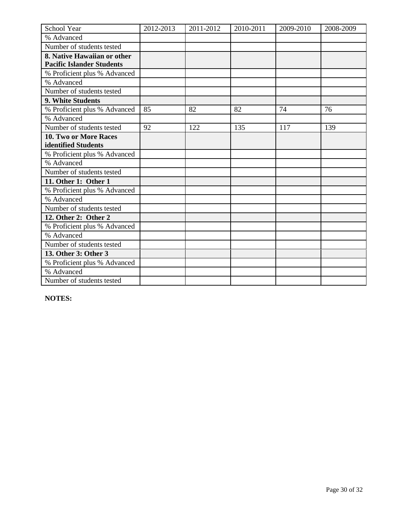| School Year                      | 2012-2013 | 2011-2012 | 2010-2011 | 2009-2010 | 2008-2009 |
|----------------------------------|-----------|-----------|-----------|-----------|-----------|
| % Advanced                       |           |           |           |           |           |
| Number of students tested        |           |           |           |           |           |
| 8. Native Hawaiian or other      |           |           |           |           |           |
| <b>Pacific Islander Students</b> |           |           |           |           |           |
| % Proficient plus % Advanced     |           |           |           |           |           |
| % Advanced                       |           |           |           |           |           |
| Number of students tested        |           |           |           |           |           |
| 9. White Students                |           |           |           |           |           |
| % Proficient plus % Advanced     | 85        | 82        | 82        | 74        | 76        |
| % Advanced                       |           |           |           |           |           |
| Number of students tested        | 92        | 122       | 135       | 117       | 139       |
| 10. Two or More Races            |           |           |           |           |           |
| identified Students              |           |           |           |           |           |
| % Proficient plus % Advanced     |           |           |           |           |           |
| % Advanced                       |           |           |           |           |           |
| Number of students tested        |           |           |           |           |           |
| 11. Other 1: Other 1             |           |           |           |           |           |
| % Proficient plus % Advanced     |           |           |           |           |           |
| % Advanced                       |           |           |           |           |           |
| Number of students tested        |           |           |           |           |           |
| 12. Other 2: Other 2             |           |           |           |           |           |
| % Proficient plus % Advanced     |           |           |           |           |           |
| % Advanced                       |           |           |           |           |           |
| Number of students tested        |           |           |           |           |           |
| 13. Other 3: Other 3             |           |           |           |           |           |
| % Proficient plus % Advanced     |           |           |           |           |           |
| % Advanced                       |           |           |           |           |           |
| Number of students tested        |           |           |           |           |           |

**NOTES:**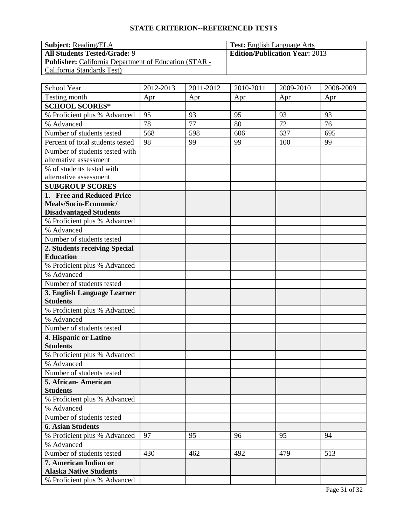| <b>Subject:</b> Reading/ELA                                  | <b>Test:</b> English Language Arts    |
|--------------------------------------------------------------|---------------------------------------|
| <b>All Students Tested/Grade: 9</b>                          | <b>Edition/Publication Year: 2013</b> |
| <b>Publisher:</b> California Department of Education (STAR - |                                       |
| California Standards Test)                                   |                                       |

| School Year                                                   | 2012-2013 | 2011-2012 | 2010-2011 | 2009-2010 | 2008-2009 |
|---------------------------------------------------------------|-----------|-----------|-----------|-----------|-----------|
| Testing month                                                 | Apr       | Apr       | Apr       | Apr       | Apr       |
| <b>SCHOOL SCORES*</b>                                         |           |           |           |           |           |
| % Proficient plus % Advanced                                  | 95        | 93        | 95        | 93        | 93        |
| % Advanced                                                    | 78        | 77        | 80        | 72        | 76        |
| Number of students tested                                     | 568       | 598       | 606       | 637       | 695       |
| Percent of total students tested                              | 98        | 99        | 99        | 100       | 99        |
| Number of students tested with                                |           |           |           |           |           |
| alternative assessment                                        |           |           |           |           |           |
| % of students tested with                                     |           |           |           |           |           |
| alternative assessment                                        |           |           |           |           |           |
| <b>SUBGROUP SCORES</b>                                        |           |           |           |           |           |
| 1. Free and Reduced-Price                                     |           |           |           |           |           |
| Meals/Socio-Economic/                                         |           |           |           |           |           |
| <b>Disadvantaged Students</b><br>% Proficient plus % Advanced |           |           |           |           |           |
| % Advanced                                                    |           |           |           |           |           |
| Number of students tested                                     |           |           |           |           |           |
| 2. Students receiving Special                                 |           |           |           |           |           |
| <b>Education</b>                                              |           |           |           |           |           |
| % Proficient plus % Advanced                                  |           |           |           |           |           |
| % Advanced                                                    |           |           |           |           |           |
| Number of students tested                                     |           |           |           |           |           |
| 3. English Language Learner                                   |           |           |           |           |           |
| <b>Students</b>                                               |           |           |           |           |           |
| % Proficient plus % Advanced                                  |           |           |           |           |           |
| % Advanced                                                    |           |           |           |           |           |
| Number of students tested                                     |           |           |           |           |           |
| 4. Hispanic or Latino                                         |           |           |           |           |           |
| <b>Students</b>                                               |           |           |           |           |           |
| % Proficient plus % Advanced                                  |           |           |           |           |           |
| % Advanced                                                    |           |           |           |           |           |
| Number of students tested                                     |           |           |           |           |           |
| 5. African-American                                           |           |           |           |           |           |
| <b>Students</b>                                               |           |           |           |           |           |
| % Proficient plus % Advanced                                  |           |           |           |           |           |
| % Advanced                                                    |           |           |           |           |           |
| Number of students tested                                     |           |           |           |           |           |
| <b>6. Asian Students</b>                                      |           |           |           |           |           |
| % Proficient plus % Advanced                                  | 97        | 95        | 96        | 95        | 94        |
| % Advanced                                                    |           |           |           |           |           |
| Number of students tested                                     | 430       | 462       | 492       | 479       | 513       |
| 7. American Indian or                                         |           |           |           |           |           |
| <b>Alaska Native Students</b>                                 |           |           |           |           |           |
| % Proficient plus % Advanced                                  |           |           |           |           |           |